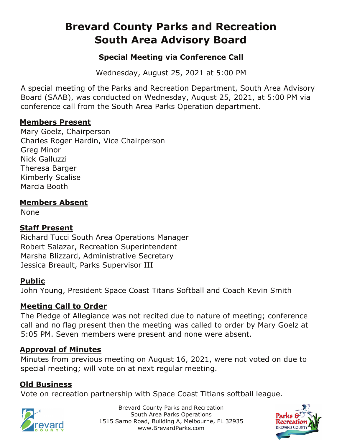# **Brevard County Parks and Recreation South Area Advisory Board**

## **Special Meeting via Conference Call**

Wednesday, August 25, 2021 at 5:00 PM

A special meeting of the Parks and Recreation Department, South Area Advisory Board (SAAB), was conducted on Wednesday, August 25, 2021, at 5:00 PM via conference call from the South Area Parks Operation department.

#### **Members Present**

Mary Goelz, Chairperson Charles Roger Hardin, Vice Chairperson Greg Minor Nick Galluzzi Theresa Barger Kimberly Scalise Marcia Booth

## **Members Absent**

None

## **Staff Present**

Richard Tucci South Area Operations Manager Robert Salazar, Recreation Superintendent Marsha Blizzard, Administrative Secretary Jessica Breault, Parks Supervisor III

## **Public**

John Young, President Space Coast Titans Softball and Coach Kevin Smith

## **Meeting Call to Order**

The Pledge of Allegiance was not recited due to nature of meeting; conference call and no flag present then the meeting was called to order by Mary Goelz at 5:05 PM. Seven members were present and none were absent.

## **Approval of Minutes**

Minutes from previous meeting on August 16, 2021, were not voted on due to special meeting; will vote on at next regular meeting.

## **Old Business**

Vote on recreation partnership with Space Coast Titians softball league.



Brevard County Parks and Recreation South Area Parks Operations 1515 Sarno Road, Building A, Melbourne, FL 32935 www.BrevardParks.com

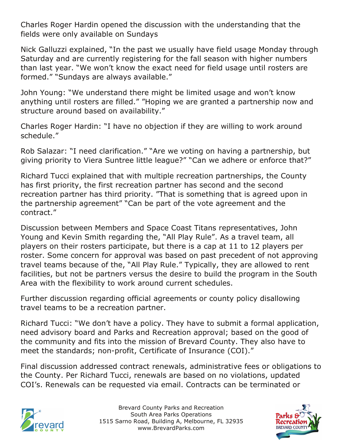Charles Roger Hardin opened the discussion with the understanding that the fields were only available on Sundays

Nick Galluzzi explained, "In the past we usually have field usage Monday through Saturday and are currently registering for the fall season with higher numbers than last year. "We won't know the exact need for field usage until rosters are formed." "Sundays are always available."

John Young: "We understand there might be limited usage and won't know anything until rosters are filled." "Hoping we are granted a partnership now and structure around based on availability."

Charles Roger Hardin: "I have no objection if they are willing to work around schedule."

Rob Salazar: "I need clarification." "Are we voting on having a partnership, but giving priority to Viera Suntree little league?" "Can we adhere or enforce that?"

Richard Tucci explained that with multiple recreation partnerships, the County has first priority, the first recreation partner has second and the second recreation partner has third priority. "That is something that is agreed upon in the partnership agreement" "Can be part of the vote agreement and the contract."

Discussion between Members and Space Coast Titans representatives, John Young and Kevin Smith regarding the, "All Play Rule". As a travel team, all players on their rosters participate, but there is a cap at 11 to 12 players per roster. Some concern for approval was based on past precedent of not approving travel teams because of the, "All Play Rule." Typically, they are allowed to rent facilities, but not be partners versus the desire to build the program in the South Area with the flexibility to work around current schedules.

Further discussion regarding official agreements or county policy disallowing travel teams to be a recreation partner.

Richard Tucci: "We don't have a policy. They have to submit a formal application, need advisory board and Parks and Recreation approval; based on the good of the community and fits into the mission of Brevard County. They also have to meet the standards; non-profit, Certificate of Insurance (COI)."

Final discussion addressed contract renewals, administrative fees or obligations to the County. Per Richard Tucci, renewals are based on no violations, updated COI's. Renewals can be requested via email. Contracts can be terminated or